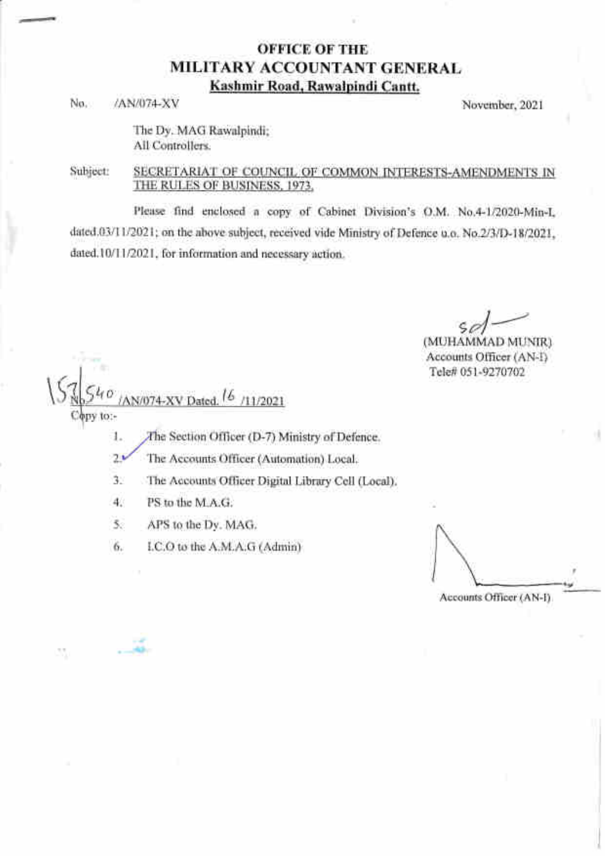## OFFICE OF THE MILITARY ACCOUNTANT GENERAL Kashmir Road. Rawalpindi Cantt,

No. /AN/074-XV November, 2021

The Dy. MAG Rawalpindi; All Controllers.

Subject: SECRETARIAT OF COLINCIL OF COMMON INTERESTS-AMENDMENTS IN THE RULES OF BUSINESS, 1973.

Please find enclosed a copy of Cabinet Division's O.M. No.4-1/2020-Min-L dated.03/11/2021; on the above subject, received vide Ministry of Defence u.o. No.2/3/D-18/2021, dated.10/11/2021, for information and necessary action.

> $\mathcal{L}$ sd $-$

(MUHAMMAD MUNIR) Accounts Officer (AN-i) Tele# 051-9270702

AN/074-XV Dated. <sup>16</sup>/11/2021 py to:-

1. / The Section Officer (D-7) Ministry of Defence.

2. The Accounts Officer (Automation) Local.

3. The Accounts Officer Digital Library Cell (Local).

4. PS to the M.A.G.

'w \* \*d&'

35

5. APS to the Dy. MAG.

6. I.C.O to the A.M.A.G (Admin)

Accounts Officer (AN-D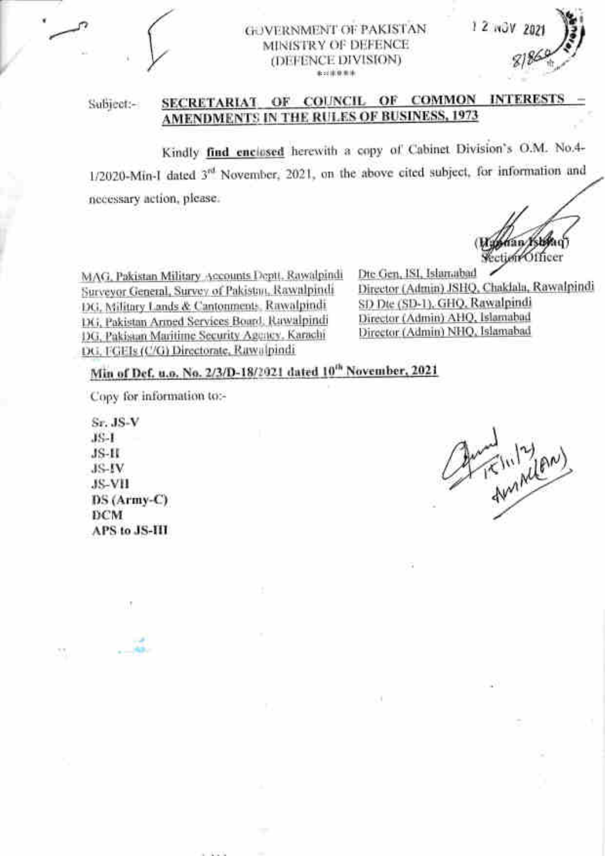

## **GOVERNMENT OF PAKISTAN** MINISTRY OF DEFENCE (DEFENCE DIVISION) a-11094

Subject:-

# SECRETARIAT OF COUNCIL OF COMMON INTERESTS AMENDMENTS IN THE RULES OF BUSINESS, 1973

Kindly find enclosed herewith a copy of Cabinet Division's O.M. No.4-1/2020-Min-I dated 3rd November, 2021, on the above cited subject, for information and necessary action, please.

climpOfficer

 $12.00x$ 

MAG, Pakistan Military Accounts Deptt, Rawalpindi Surveyor General, Survey of Pakistan, Rawalpindi DG. Military Lands & Cantonments, Rawalpindi DG, Pakistan Armed Services Board, Rawalpindi DG, Pakisaan Maritime Security Agency, Karachi DG, FGEIs (C/G) Directorate, Rawalpindi

Dte Gen, ISI, Islamabad Director (Admin) JSHQ, Chaklala, Rawalpindi SD Dte (SD-1), GHQ, Rawalpindi Director (Admin) AHQ, Islamabad Director (Admin) NHQ, Islamabad

# Min of Def. u.o. No. 2/3/D-18/2021 dated 10<sup>th</sup> November, 2021

Copy for information to:-

Sr. JS-V  $JS-1$  $JS-II$ JS-IV **JS-VII** DS (Army-C) **DCM APS to JS-III** 

function (2)